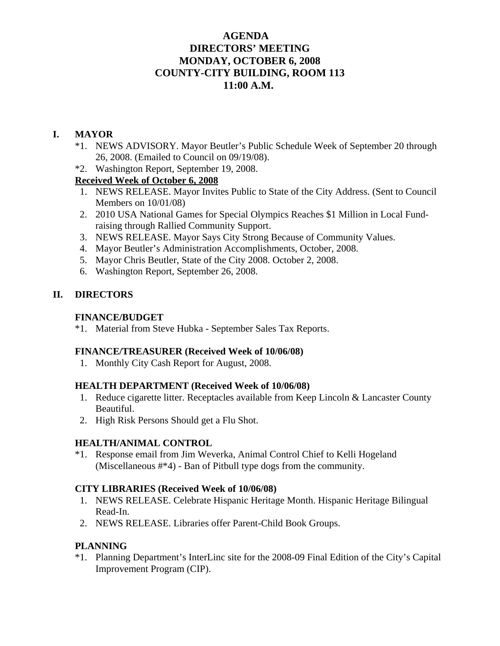# **AGENDA DIRECTORS' MEETING MONDAY, OCTOBER 6, 2008 COUNTY-CITY BUILDING, ROOM 113 11:00 A.M.**

## **I. MAYOR**

- \*1. NEWS ADVISORY. Mayor Beutler's Public Schedule Week of September 20 through 26, 2008. (Emailed to Council on 09/19/08).
- \*2. Washington Report, September 19, 2008.

## **Received Week of October 6, 2008**

- 1. NEWS RELEASE. Mayor Invites Public to State of the City Address. (Sent to Council Members on 10/01/08)
- 2. 2010 USA National Games for Special Olympics Reaches \$1 Million in Local Fundraising through Rallied Community Support.
- 3. NEWS RELEASE. Mayor Says City Strong Because of Community Values.
- 4. Mayor Beutler's Administration Accomplishments, October, 2008.
- 5. Mayor Chris Beutler, State of the City 2008. October 2, 2008.
- 6. Washington Report, September 26, 2008.

## **II. DIRECTORS**

## **FINANCE/BUDGET**

\*1. Material from Steve Hubka - September Sales Tax Reports.

## **FINANCE/TREASURER (Received Week of 10/06/08)**

1. Monthly City Cash Report for August, 2008.

## **HEALTH DEPARTMENT (Received Week of 10/06/08)**

- 1. Reduce cigarette litter. Receptacles available from Keep Lincoln & Lancaster County Beautiful.
- 2. High Risk Persons Should get a Flu Shot.

## **HEALTH/ANIMAL CONTROL**

\*1. Response email from Jim Weverka, Animal Control Chief to Kelli Hogeland (Miscellaneous #\*4) - Ban of Pitbull type dogs from the community.

## **CITY LIBRARIES (Received Week of 10/06/08)**

- 1. NEWS RELEASE. Celebrate Hispanic Heritage Month. Hispanic Heritage Bilingual Read-In.
- 2. NEWS RELEASE. Libraries offer Parent-Child Book Groups.

## **PLANNING**

\*1. Planning Department's InterLinc site for the 2008-09 Final Edition of the City's Capital Improvement Program (CIP).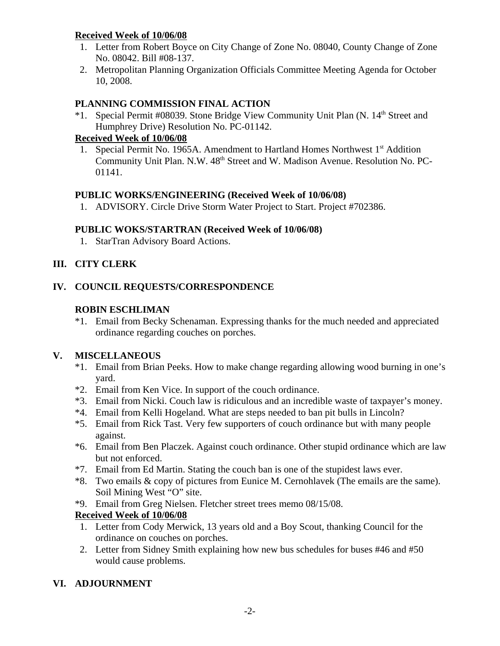## **Received Week of 10/06/08**

- 1. Letter from Robert Boyce on City Change of Zone No. 08040, County Change of Zone No. 08042. Bill #08-137.
- 2. Metropolitan Planning Organization Officials Committee Meeting Agenda for October 10, 2008.

# **PLANNING COMMISSION FINAL ACTION**

\*1. Special Permit #08039. Stone Bridge View Community Unit Plan (N. 14<sup>th</sup> Street and Humphrey Drive) Resolution No. PC-01142.

# **Received Week of 10/06/08**

1. Special Permit No. 1965A. Amendment to Hartland Homes Northwest 1<sup>st</sup> Addition Community Unit Plan. N.W. 48<sup>th</sup> Street and W. Madison Avenue. Resolution No. PC-01141.

# **PUBLIC WORKS/ENGINEERING (Received Week of 10/06/08)**

1. ADVISORY. Circle Drive Storm Water Project to Start. Project #702386.

# **PUBLIC WOKS/STARTRAN (Received Week of 10/06/08)**

1. StarTran Advisory Board Actions.

# **III. CITY CLERK**

# **IV. COUNCIL REQUESTS/CORRESPONDENCE**

# **ROBIN ESCHLIMAN**

\*1. Email from Becky Schenaman. Expressing thanks for the much needed and appreciated ordinance regarding couches on porches.

# **V. MISCELLANEOUS**

- \*1. Email from Brian Peeks. How to make change regarding allowing wood burning in one's yard.
- \*2. Email from Ken Vice. In support of the couch ordinance.
- \*3. Email from Nicki. Couch law is ridiculous and an incredible waste of taxpayer's money.
- \*4. Email from Kelli Hogeland. What are steps needed to ban pit bulls in Lincoln?
- \*5. Email from Rick Tast. Very few supporters of couch ordinance but with many people against.
- \*6. Email from Ben Placzek. Against couch ordinance. Other stupid ordinance which are law but not enforced.
- \*7. Email from Ed Martin. Stating the couch ban is one of the stupidest laws ever.
- \*8. Two emails & copy of pictures from Eunice M. Cernohlavek (The emails are the same). Soil Mining West "O" site.
- \*9. Email from Greg Nielsen. Fletcher street trees memo 08/15/08.

# **Received Week of 10/06/08**

- 1. Letter from Cody Merwick, 13 years old and a Boy Scout, thanking Council for the ordinance on couches on porches.
- 2. Letter from Sidney Smith explaining how new bus schedules for buses #46 and #50 would cause problems.

# **VI. ADJOURNMENT**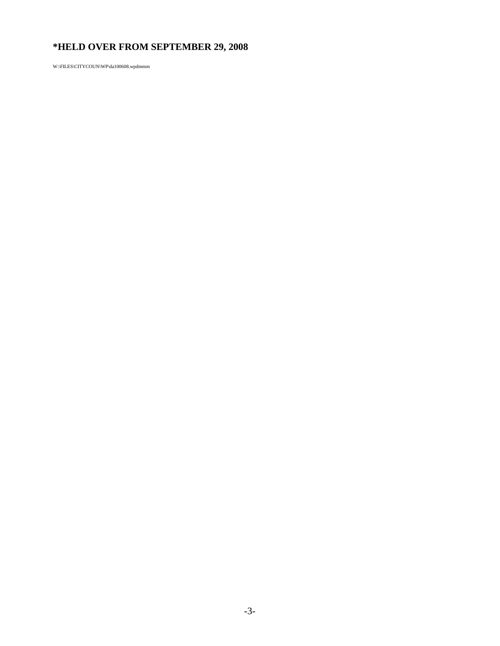# **\*HELD OVER FROM SEPTEMBER 29, 2008**

W:\FILES\CITYCOUN\WP\da100608.wpdmmm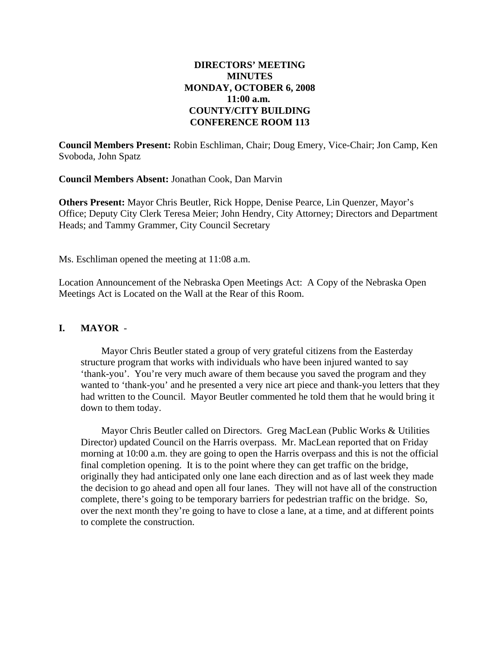## **DIRECTORS' MEETING MINUTES MONDAY, OCTOBER 6, 2008 11:00 a.m. COUNTY/CITY BUILDING CONFERENCE ROOM 113**

**Council Members Present:** Robin Eschliman, Chair; Doug Emery, Vice-Chair; Jon Camp, Ken Svoboda, John Spatz

**Council Members Absent:** Jonathan Cook, Dan Marvin

**Others Present:** Mayor Chris Beutler, Rick Hoppe, Denise Pearce, Lin Quenzer, Mayor's Office; Deputy City Clerk Teresa Meier; John Hendry, City Attorney; Directors and Department Heads; and Tammy Grammer, City Council Secretary

Ms. Eschliman opened the meeting at 11:08 a.m.

Location Announcement of the Nebraska Open Meetings Act: A Copy of the Nebraska Open Meetings Act is Located on the Wall at the Rear of this Room.

## **I. MAYOR** -

Mayor Chris Beutler stated a group of very grateful citizens from the Easterday structure program that works with individuals who have been injured wanted to say 'thank-you'. You're very much aware of them because you saved the program and they wanted to 'thank-you' and he presented a very nice art piece and thank-you letters that they had written to the Council. Mayor Beutler commented he told them that he would bring it down to them today.

Mayor Chris Beutler called on Directors. Greg MacLean (Public Works & Utilities Director) updated Council on the Harris overpass. Mr. MacLean reported that on Friday morning at 10:00 a.m. they are going to open the Harris overpass and this is not the official final completion opening. It is to the point where they can get traffic on the bridge, originally they had anticipated only one lane each direction and as of last week they made the decision to go ahead and open all four lanes. They will not have all of the construction complete, there's going to be temporary barriers for pedestrian traffic on the bridge. So, over the next month they're going to have to close a lane, at a time, and at different points to complete the construction.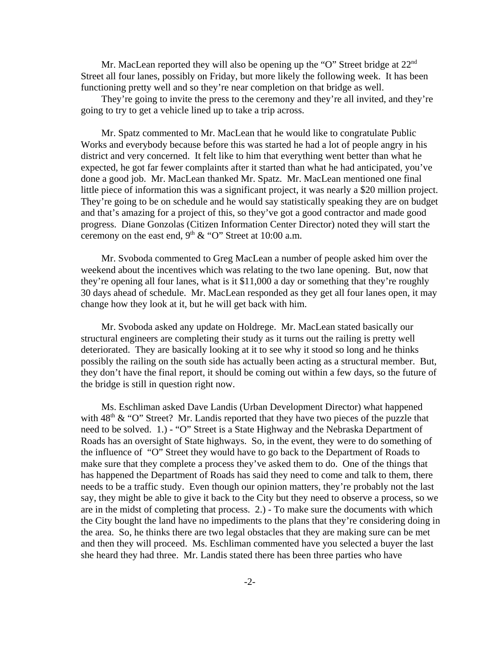Mr. MacLean reported they will also be opening up the "O" Street bridge at 22<sup>nd</sup> Street all four lanes, possibly on Friday, but more likely the following week. It has been functioning pretty well and so they're near completion on that bridge as well.

They're going to invite the press to the ceremony and they're all invited, and they're going to try to get a vehicle lined up to take a trip across.

Mr. Spatz commented to Mr. MacLean that he would like to congratulate Public Works and everybody because before this was started he had a lot of people angry in his district and very concerned. It felt like to him that everything went better than what he expected, he got far fewer complaints after it started than what he had anticipated, you've done a good job. Mr. MacLean thanked Mr. Spatz. Mr. MacLean mentioned one final little piece of information this was a significant project, it was nearly a \$20 million project. They're going to be on schedule and he would say statistically speaking they are on budget and that's amazing for a project of this, so they've got a good contractor and made good progress. Diane Gonzolas (Citizen Information Center Director) noted they will start the ceremony on the east end,  $9<sup>th</sup> \&$  "O" Street at 10:00 a.m.

Mr. Svoboda commented to Greg MacLean a number of people asked him over the weekend about the incentives which was relating to the two lane opening. But, now that they're opening all four lanes, what is it \$11,000 a day or something that they're roughly 30 days ahead of schedule. Mr. MacLean responded as they get all four lanes open, it may change how they look at it, but he will get back with him.

Mr. Svoboda asked any update on Holdrege. Mr. MacLean stated basically our structural engineers are completing their study as it turns out the railing is pretty well deteriorated. They are basically looking at it to see why it stood so long and he thinks possibly the railing on the south side has actually been acting as a structural member. But, they don't have the final report, it should be coming out within a few days, so the future of the bridge is still in question right now.

Ms. Eschliman asked Dave Landis (Urban Development Director) what happened with  $48<sup>th</sup>$  & "O" Street? Mr. Landis reported that they have two pieces of the puzzle that need to be solved. 1.) - "O" Street is a State Highway and the Nebraska Department of Roads has an oversight of State highways. So, in the event, they were to do something of the influence of "O" Street they would have to go back to the Department of Roads to make sure that they complete a process they've asked them to do. One of the things that has happened the Department of Roads has said they need to come and talk to them, there needs to be a traffic study. Even though our opinion matters, they're probably not the last say, they might be able to give it back to the City but they need to observe a process, so we are in the midst of completing that process. 2.) - To make sure the documents with which the City bought the land have no impediments to the plans that they're considering doing in the area. So, he thinks there are two legal obstacles that they are making sure can be met and then they will proceed. Ms. Eschliman commented have you selected a buyer the last she heard they had three. Mr. Landis stated there has been three parties who have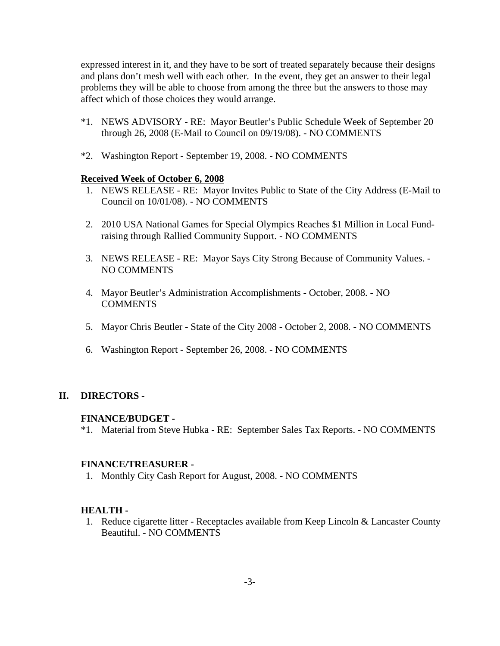expressed interest in it, and they have to be sort of treated separately because their designs and plans don't mesh well with each other. In the event, they get an answer to their legal problems they will be able to choose from among the three but the answers to those may affect which of those choices they would arrange.

- \*1. NEWS ADVISORY RE: Mayor Beutler's Public Schedule Week of September 20 through 26, 2008 (E-Mail to Council on 09/19/08). - NO COMMENTS
- \*2. Washington Report September 19, 2008. NO COMMENTS

#### **Received Week of October 6, 2008**

- 1. NEWS RELEASE RE: Mayor Invites Public to State of the City Address (E-Mail to Council on 10/01/08). - NO COMMENTS
- 2. 2010 USA National Games for Special Olympics Reaches \$1 Million in Local Fundraising through Rallied Community Support. - NO COMMENTS
- 3. NEWS RELEASE RE: Mayor Says City Strong Because of Community Values. NO COMMENTS
- 4. Mayor Beutler's Administration Accomplishments October, 2008. NO **COMMENTS**
- 5. Mayor Chris Beutler State of the City 2008 October 2, 2008. NO COMMENTS
- 6. Washington Report September 26, 2008. NO COMMENTS

## **II. DIRECTORS -**

#### **FINANCE/BUDGET -**

\*1. Material from Steve Hubka - RE: September Sales Tax Reports. - NO COMMENTS

#### **FINANCE/TREASURER -**

1. Monthly City Cash Report for August, 2008. - NO COMMENTS

#### **HEALTH -**

 1. Reduce cigarette litter - Receptacles available from Keep Lincoln & Lancaster County Beautiful. - NO COMMENTS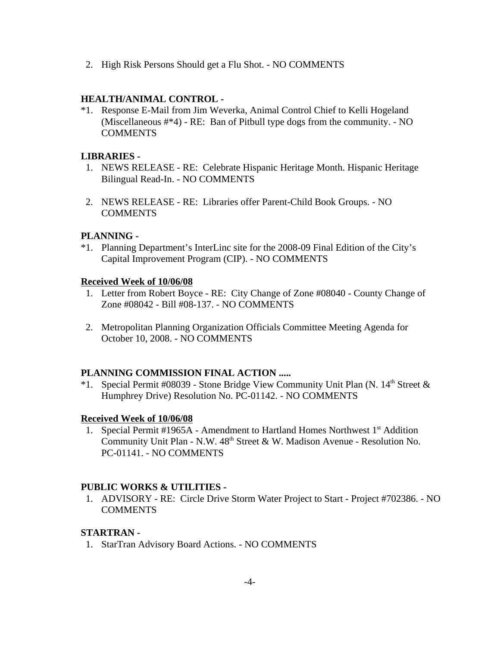2. High Risk Persons Should get a Flu Shot. - NO COMMENTS

## **HEALTH/ANIMAL CONTROL -**

\*1. Response E-Mail from Jim Weverka, Animal Control Chief to Kelli Hogeland (Miscellaneous #\*4) - RE: Ban of Pitbull type dogs from the community. - NO **COMMENTS** 

## **LIBRARIES -**

- 1. NEWS RELEASE RE: Celebrate Hispanic Heritage Month. Hispanic Heritage Bilingual Read-In. - NO COMMENTS
- 2. NEWS RELEASE RE: Libraries offer Parent-Child Book Groups. NO COMMENTS

## **PLANNING -**

\*1. Planning Department's InterLinc site for the 2008-09 Final Edition of the City's Capital Improvement Program (CIP). - NO COMMENTS

### **Received Week of 10/06/08**

- 1. Letter from Robert Boyce RE: City Change of Zone #08040 County Change of Zone #08042 - Bill #08-137. - NO COMMENTS
- 2. Metropolitan Planning Organization Officials Committee Meeting Agenda for October 10, 2008. - NO COMMENTS

### **PLANNING COMMISSION FINAL ACTION .....**

\*1. Special Permit #08039 - Stone Bridge View Community Unit Plan (N.  $14<sup>th</sup>$  Street & Humphrey Drive) Resolution No. PC-01142. - NO COMMENTS

### **Received Week of 10/06/08**

1. Special Permit #1965A - Amendment to Hartland Homes Northwest 1<sup>st</sup> Addition Community Unit Plan - N.W.  $48<sup>th</sup>$  Street & W. Madison Avenue - Resolution No. PC-01141. - NO COMMENTS

### **PUBLIC WORKS & UTILITIES -**

 1. ADVISORY - RE: Circle Drive Storm Water Project to Start - Project #702386. - NO COMMENTS

### **STARTRAN -**

1. StarTran Advisory Board Actions. - NO COMMENTS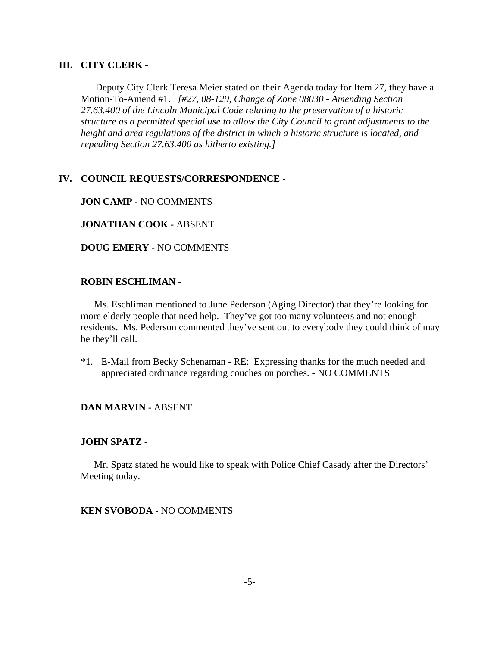#### **III. CITY CLERK -**

Deputy City Clerk Teresa Meier stated on their Agenda today for Item 27, they have a Motion-To-Amend #1. *[#27, 08-129, Change of Zone 08030 - Amending Section 27.63.400 of the Lincoln Municipal Code relating to the preservation of a historic structure as a permitted special use to allow the City Council to grant adjustments to the height and area regulations of the district in which a historic structure is located, and repealing Section 27.63.400 as hitherto existing.]*

### **IV. COUNCIL REQUESTS/CORRESPONDENCE -**

**JON CAMP -** NO COMMENTS

**JONATHAN COOK -** ABSENT

**DOUG EMERY -** NO COMMENTS

### **ROBIN ESCHLIMAN -**

Ms. Eschliman mentioned to June Pederson (Aging Director) that they're looking for more elderly people that need help. They've got too many volunteers and not enough residents. Ms. Pederson commented they've sent out to everybody they could think of may be they'll call.

\*1. E-Mail from Becky Schenaman - RE: Expressing thanks for the much needed and appreciated ordinance regarding couches on porches. - NO COMMENTS

## **DAN MARVIN -** ABSENT

### **JOHN SPATZ -**

Mr. Spatz stated he would like to speak with Police Chief Casady after the Directors' Meeting today.

### **KEN SVOBODA -** NO COMMENTS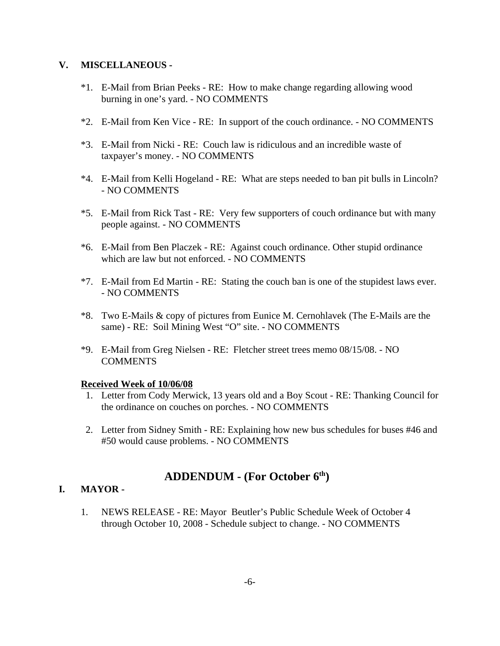## **V. MISCELLANEOUS -**

- \*1. E-Mail from Brian Peeks RE: How to make change regarding allowing wood burning in one's yard. - NO COMMENTS
- \*2. E-Mail from Ken Vice RE: In support of the couch ordinance. NO COMMENTS
- \*3. E-Mail from Nicki RE: Couch law is ridiculous and an incredible waste of taxpayer's money. - NO COMMENTS
- \*4. E-Mail from Kelli Hogeland RE: What are steps needed to ban pit bulls in Lincoln? - NO COMMENTS
- \*5. E-Mail from Rick Tast RE: Very few supporters of couch ordinance but with many people against. - NO COMMENTS
- \*6. E-Mail from Ben Placzek RE: Against couch ordinance. Other stupid ordinance which are law but not enforced. - NO COMMENTS
- \*7. E-Mail from Ed Martin RE: Stating the couch ban is one of the stupidest laws ever. - NO COMMENTS
- \*8. Two E-Mails & copy of pictures from Eunice M. Cernohlavek (The E-Mails are the same) - RE: Soil Mining West "O" site. - NO COMMENTS
- \*9. E-Mail from Greg Nielsen RE: Fletcher street trees memo 08/15/08. NO COMMENTS

### **Received Week of 10/06/08**

- 1. Letter from Cody Merwick, 13 years old and a Boy Scout RE: Thanking Council for the ordinance on couches on porches. - NO COMMENTS
- 2. Letter from Sidney Smith RE: Explaining how new bus schedules for buses #46 and #50 would cause problems. - NO COMMENTS

# **ADDENDUM - (For October 6th)**

## **I. MAYOR -**

1. NEWS RELEASE - RE: Mayor Beutler's Public Schedule Week of October 4 through October 10, 2008 - Schedule subject to change. - NO COMMENTS